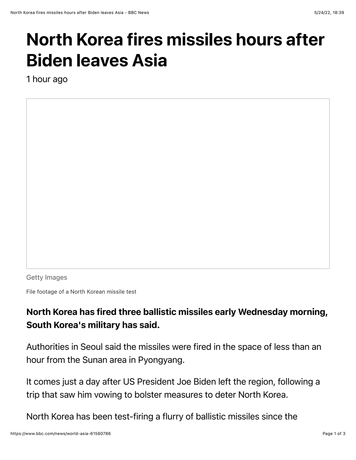## North Korea fires missiles hours after Biden leaves Asia

1 hour ago

Getty Images

File footage of a North Korean missile test

## North Korea has fired three ballistic missiles early Wednesday morning, South Korea's military has said.

Authorities in Seoul said the missiles were fired in the space of less than an hour from the Sunan area in Pyongyang.

It comes just a day after US President Joe Biden left the region, following a trip that saw him vowing to bolster measures to deter North Korea.

North Korea has been test-firing a flurry of ballistic missiles since the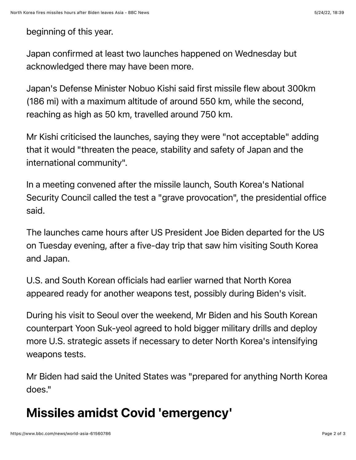## beginning of this year.

Japan confirmed at least two launches happened on Wednesday but acknowledged there may have been more.

Japan's Defense Minister Nobuo Kishi said first missile flew about 300km (186 mi) with a maximum altitude of around 550 km, while the second, reaching as high as 50 km, travelled around 750 km.

Mr Kishi criticised the launches, saying they were "not acceptable" adding that it would "threaten the peace, stability and safety of Japan and the international community".

In a meeting convened after the missile launch, South Korea's National Security Council called the test a "grave provocation", the presidential office said.

The launches came hours after US President Joe Biden departed for the US on Tuesday evening, after a five-day trip that saw him visiting South Korea and Japan.

U.S. and South Korean officials had earlier warned that North Korea appeared ready for another weapons test, possibly during Biden's visit.

During his visit to Seoul over the weekend, Mr Biden and his South Korean counterpart Yoon Suk-yeol agreed to hold bigger military drills and deploy more U.S. strategic assets if necessary to deter North Korea's intensifying weapons tests.

Mr Biden had said the United States was "prepared for anything North Korea does."

## Missiles amidst Covid 'emergency'